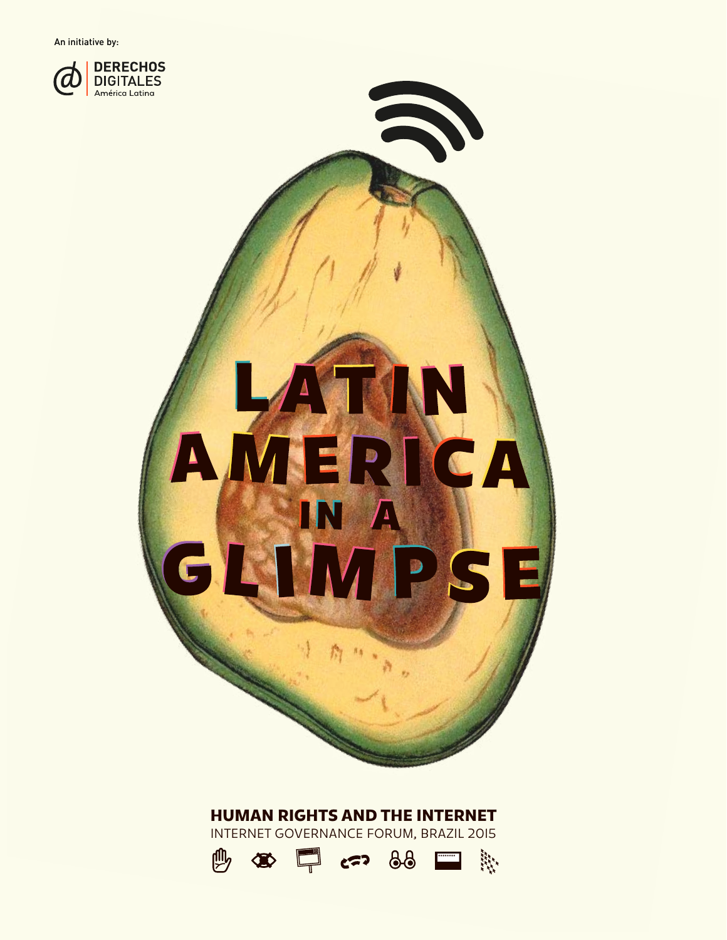An initiative by:





### HUMAN RIGHTS AND THE INTERNET

INTERNET GOVERNANCE FORUM, BRAZIL 2015

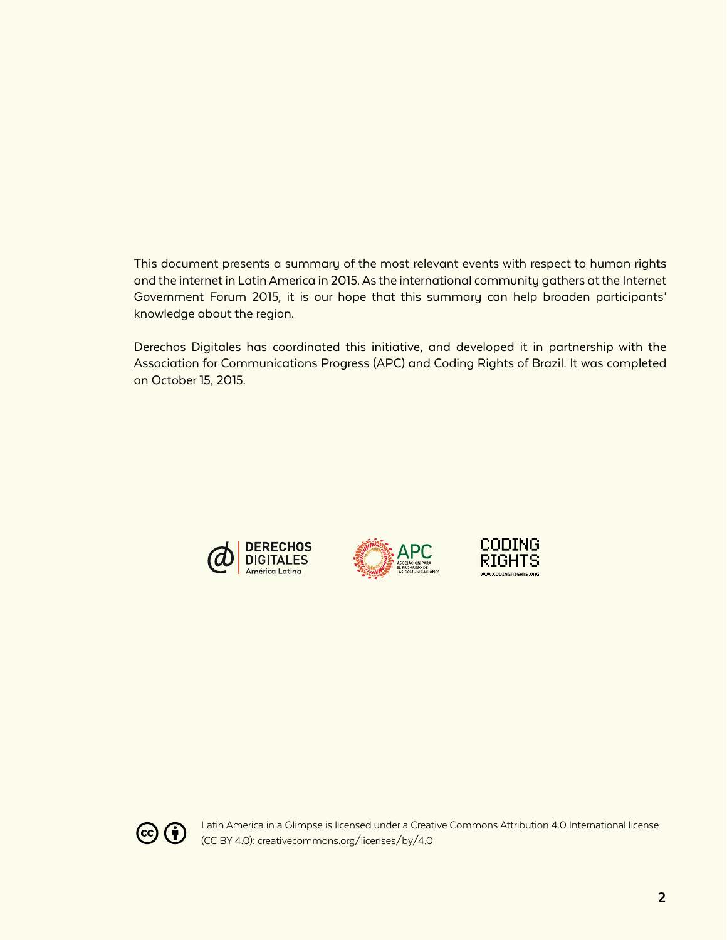This document presents a summary of the most relevant events with respect to human rights and the internet in Latin America in 2015. As the international community gathers at the Internet Government Forum 2015, it is our hope that this summary can help broaden participants' knowledge about the region.

Derechos Digitales has coordinated this initiative, and developed it in partnership with the Association for Communications Progress (APC) and Coding Rights of Brazil. It was completed on October 15, 2015.









Latin America in a Glimpse is licensed under a Creative Commons Attribution 4.0 International license (CC BY 4.0): creativecommons.org/licenses/by/4.0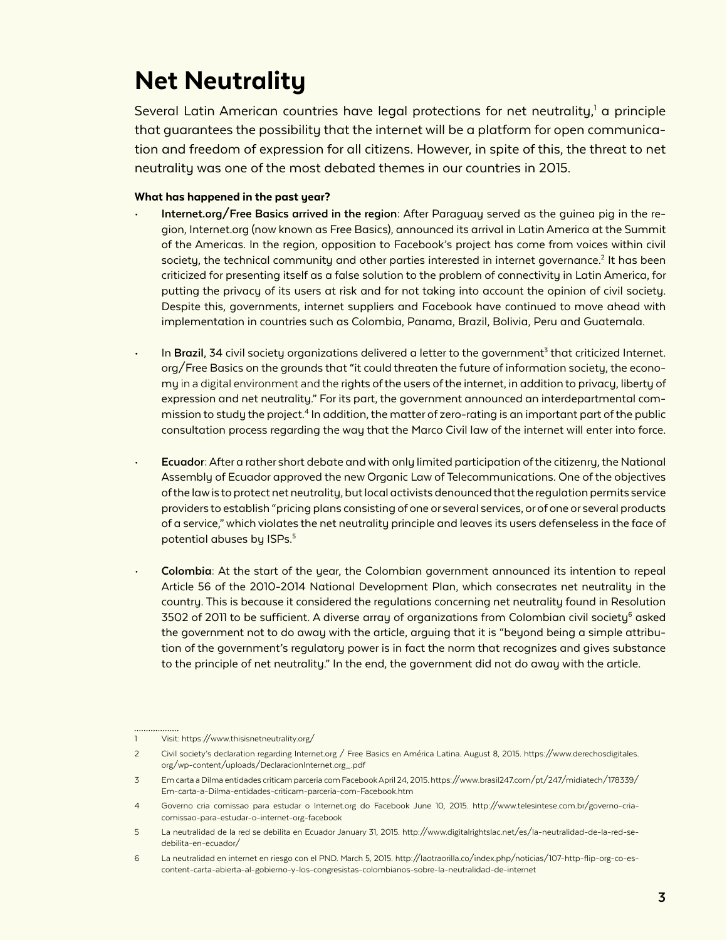### Net Neutrality

Several Latin American countries have legal protections for net neutrality,<sup>1</sup> a principle that guarantees the possibility that the internet will be a platform for open communication and freedom of expression for all citizens. However, in spite of this, the threat to net neutrality was one of the most debated themes in our countries in 2015.

- **Internet.org/Free Basics arrived in the region:** After Paraguay served as the guinea pig in the region, Internet.org (now known as Free Basics), announced its arrival in Latin America at the Summit of the Americas. In the region, opposition to Facebook's project has come from voices within civil society, the technical community and other parties interested in internet governance.<sup>2</sup> It has been criticized for presenting itself as a false solution to the problem of connectivity in Latin America, for putting the privacy of its users at risk and for not taking into account the opinion of civil society. Despite this, governments, internet suppliers and Facebook have continued to move ahead with implementation in countries such as Colombia, Panama, Brazil, Bolivia, Peru and Guatemala.
- $\cdot$  In **Brazil**, 34 civil society organizations delivered a letter to the government<sup>3</sup> that criticized Internet. org/Free Basics on the grounds that "it could threaten the future of information society, the economy in a digital environment and the rights of the users of the internet, in addition to privacy, liberty of expression and net neutrality." For its part, the government announced an interdepartmental commission to study the project.<sup>4</sup> In addition, the matter of zero-rating is an important part of the public consultation process regarding the way that the Marco Civil law of the internet will enter into force.
- **Ecuador:** After a rather short debate and with only limited participation of the citizenry, the National Assembly of Ecuador approved the new Organic Law of Telecommunications. One of the objectives of the law is to protect net neutrality, but local activists denounced that the regulation permits service providers to establish "pricing plans consisting of one or several services, or of one or several products of a service," which violates the net neutrality principle and leaves its users defenseless in the face of potential abuses by ISPs.<sup>5</sup>
- **Colombia:** At the start of the year, the Colombian government announced its intention to repeal Article 56 of the 2010-2014 National Development Plan, which consecrates net neutrality in the country. This is because it considered the regulations concerning net neutrality found in Resolution 3502 of 2011 to be sufficient. A diverse array of organizations from Colombian civil society<sup>6</sup> asked the government not to do away with the article, arguing that it is "beyond being a simple attribution of the government's regulatory power is in fact the norm that recognizes and gives substance to the principle of net neutrality." In the end, the government did not do away with the article.

<sup>1</sup> Visit:<https://www.thisisnetneutrality.org/>

<sup>2</sup> Civil society's declaration regarding Internet.org / Free Basics en América Latina. August 8, 2015. https://www.derechosdigitales. org/wp-content/uploads/DeclaracionInternet.org\_.pdf

<sup>3</sup> Em carta a Dilma entidades criticam parceria com Facebook April 24, 2015. https://www.brasil247.com/pt/247/midiatech/178339/ Em-carta-a-Dilma-entidades-criticam-parceria-com-Facebook.htm

<sup>4</sup> Governo cria comissao para estudar o Internet.org do Facebook June 10, 2015. http://www.telesintese.com.br/governo-criacomissao-para-estudar-o-internet-org-facebook

<sup>5</sup> La neutralidad de la red se debilita en Ecuador January 31, 2015. http://www.digitalrightslac.net/es/la-neutralidad-de-la-red-sedebilita-en-ecuador/

<sup>6</sup> La neutralidad en internet en riesgo con el PND. March 5, 2015. http://laotraorilla.co/index.php/noticias/107-http-flip-org-co-escontent-carta-abierta-al-gobierno-y-los-congresistas-colombianos-sobre-la-neutralidad-de-internet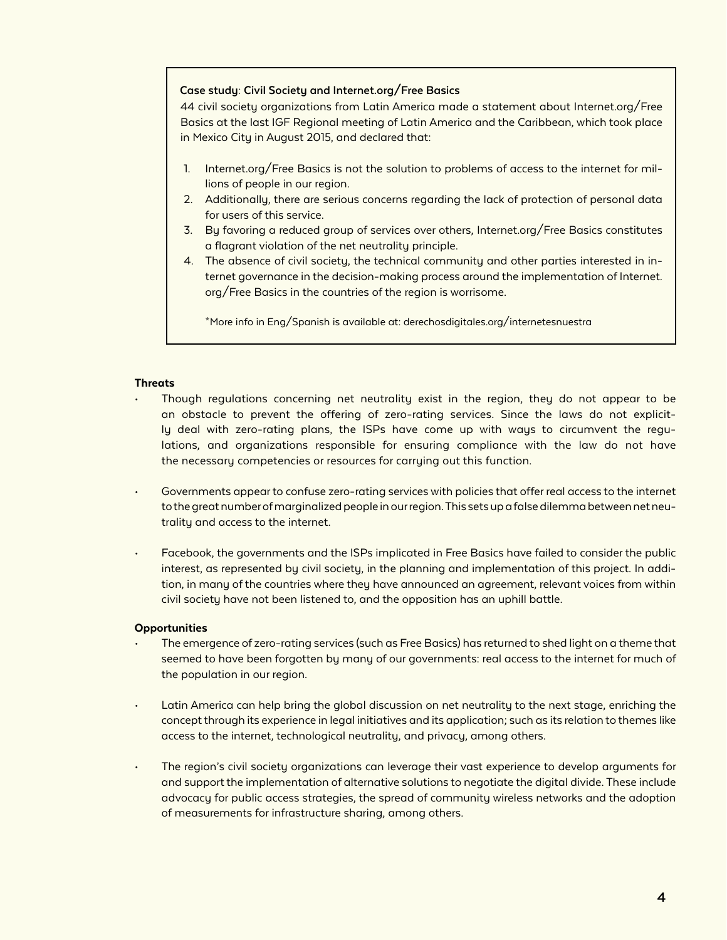#### **Case study: Civil Society and Internet.org/Free Basics**

44 civil society organizations from Latin America made a statement about Internet.org/Free Basics at the last IGF Regional meeting of Latin America and the Caribbean, which took place in Mexico City in August 2015, and declared that:

- 1. Internet.org/Free Basics is not the solution to problems of access to the internet for millions of people in our region.
- 2. Additionally, there are serious concerns regarding the lack of protection of personal data for users of this service.
- 3. By favoring a reduced group of services over others, Internet.org/Free Basics constitutes a flagrant violation of the net neutrality principle.
- 4. The absence of civil society, the technical community and other parties interested in internet governance in the decision-making process around the implementation of Internet. org/Free Basics in the countries of the region is worrisome.

\*More info in Eng/Spanish is available at: derechosdigitales.org/internetesnuestra

#### **Threats**

- Though regulations concerning net neutrality exist in the region, they do not appear to be an obstacle to prevent the offering of zero-rating services. Since the laws do not explicitly deal with zero-rating plans, the ISPs have come up with ways to circumvent the regulations, and organizations responsible for ensuring compliance with the law do not have the necessary competencies or resources for carrying out this function.
- Governments appear to confuse zero-rating services with policies that offer real access to the internet to the great number of marginalized people in our region. This sets up a false dilemma between net neutrality and access to the internet.
- Facebook, the governments and the ISPs implicated in Free Basics have failed to consider the public interest, as represented by civil society, in the planning and implementation of this project. In addition, in many of the countries where they have announced an agreement, relevant voices from within civil society have not been listened to, and the opposition has an uphill battle.

#### **Opportunities**

- The emergence of zero-rating services (such as Free Basics) has returned to shed light on a theme that seemed to have been forgotten by many of our governments: real access to the internet for much of the population in our region.
- Latin America can help bring the global discussion on net neutrality to the next stage, enriching the concept through its experience in legal initiatives and its application; such as its relation to themes like access to the internet, technological neutrality, and privacy, among others.
- The region's civil society organizations can leverage their vast experience to develop arguments for and support the implementation of alternative solutions to negotiate the digital divide. These include advocacy for public access strategies, the spread of community wireless networks and the adoption of measurements for infrastructure sharing, among others.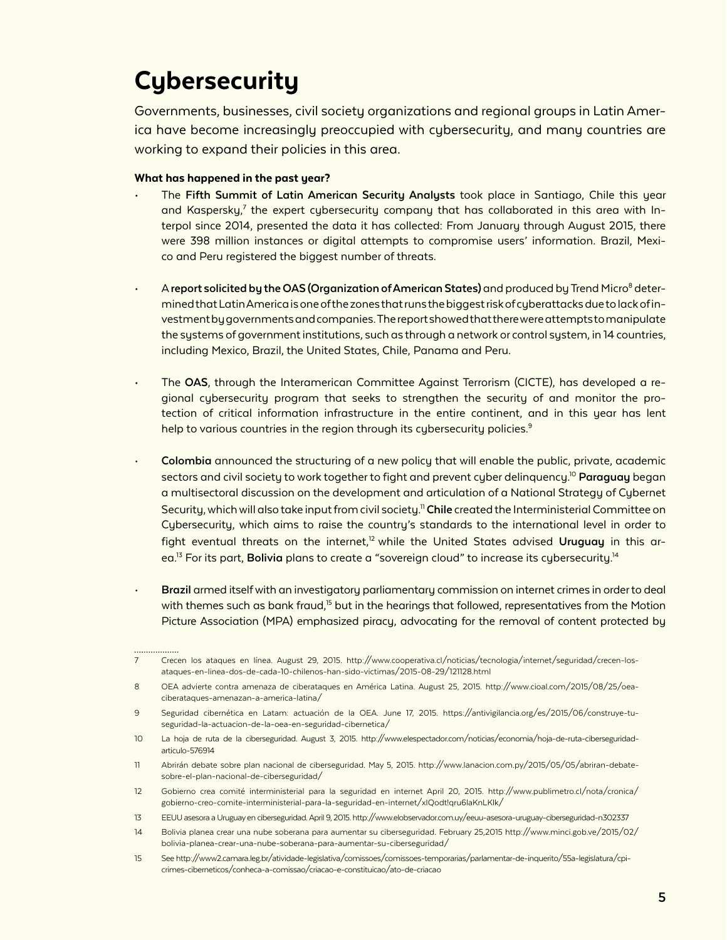## **Cybersecurity**

Governments, businesses, civil society organizations and regional groups in Latin America have become increasingly preoccupied with cybersecurity, and many countries are working to expand their policies in this area.

- The **Fifth Summit of Latin American Security Analysts** took place in Santiago, Chile this year and Kaspersky,<sup>7</sup> the expert cybersecurity company that has collaborated in this area with Interpol since 2014, presented the data it has collected: From January through August 2015, there were 398 million instances or digital attempts to compromise users' information. Brazil, Mexico and Peru registered the biggest number of threats.
- $\cdot$  A report solicited by the OAS (Organization of American States) and produced by Trend Micro<sup>8</sup> determined that Latin America is one of the zones that runs the biggest risk of cyberattacks due to lack of investment by governments and companies. The report showed that there were attempts to manipulate the systems of government institutions, such as through a network or control system, in 14 countries, including Mexico, Brazil, the United States, Chile, Panama and Peru.
- The **OAS**, through the Interamerican Committee Against Terrorism (CICTE), has developed a regional cybersecurity program that seeks to strengthen the security of and monitor the protection of critical information infrastructure in the entire continent, and in this year has lent help to various countries in the region through its cybersecurity policies.<sup>9</sup>
- **Colombia** announced the structuring of a new policy that will enable the public, private, academic sectors and civil society to work together to fight and prevent cyber delinquency.10 **Paraguay** began a multisectoral discussion on the development and articulation of a National Strategy of Cybernet Security, which will also take input from civil society.11 **Chile** created the Interministerial Committee on Cybersecurity, which aims to raise the country's standards to the international level in order to fight eventual threats on the internet,<sup>12</sup> while the United States advised Uruguay in this area.<sup>13</sup> For its part, **Bolivia** plans to create a "sovereign cloud" to increase its cybersecurity.<sup>14</sup>
- **Brazil** armed itself with an investigatory parliamentary commission on internet crimes in order to deal with themes such as bank fraud,<sup>15</sup> but in the hearings that followed, representatives from the Motion Picture Association (MPA) emphasized piracy, advocating for the removal of content protected by

<sup>7</sup> Crecen los ataques en línea. August 29, 2015. http://www.cooperativa.cl/noticias/tecnologia/internet/seguridad/crecen-losataques-en-linea-dos-de-cada-10-chilenos-han-sido-victimas/2015-08-29/121128.html

<sup>8</sup> OEA advierte contra amenaza de ciberataques en América Latina. August 25, 2015. http://www.cioal.com/2015/08/25/oeaciberataques-amenazan-a-america-latina/

<sup>9</sup> Seguridad cibernética en Latam: actuación de la OEA. June 17, 2015. https://antivigilancia.org/es/2015/06/construye-tuseguridad-la-actuacion-de-la-oea-en-seguridad-cibernetica/

<sup>10</sup> La hoja de ruta de la ciberseguridad. August 3, 2015. http://www.elespectador.com/noticias/economia/hoja-de-ruta-ciberseguridadarticulo-576914

<sup>11</sup> Abrirán debate sobre plan nacional de ciberseguridad. May 5, 2015. http://www.lanacion.com.py/2015/05/05/abriran-debatesobre-el-plan-nacional-de-ciberseguridad/

<sup>12</sup> Gobierno crea comité interministerial para la seguridad en internet April 20, 2015. http://www.publimetro.cl/nota/cronica/ gobierno-creo-comite-interministerial-para-la-seguridad-en-internet/xIQodt!qru6laKnLKlk/

<sup>13</sup> EEUU asesora a Uruguay en ciberseguridad. April 9, 2015. http://www.elobservador.com.uy/eeuu-asesora-uruguay-ciberseguridad-n302337

<sup>14</sup> Bolivia planea crear una nube soberana para aumentar su ciberseguridad. February 25,2015 http://www.minci.gob.ve/2015/02/ bolivia-planea-crear-una-nube-soberana-para-aumentar-su-ciberseguridad/

<sup>15</sup> See http://www2.camara.leg.br/atividade-legislativa/comissoes/comissoes-temporarias/parlamentar-de-inquerito/55a-legislatura/cpicrimes-ciberneticos/conheca-a-comissao/criacao-e-constituicao/ato-de-criacao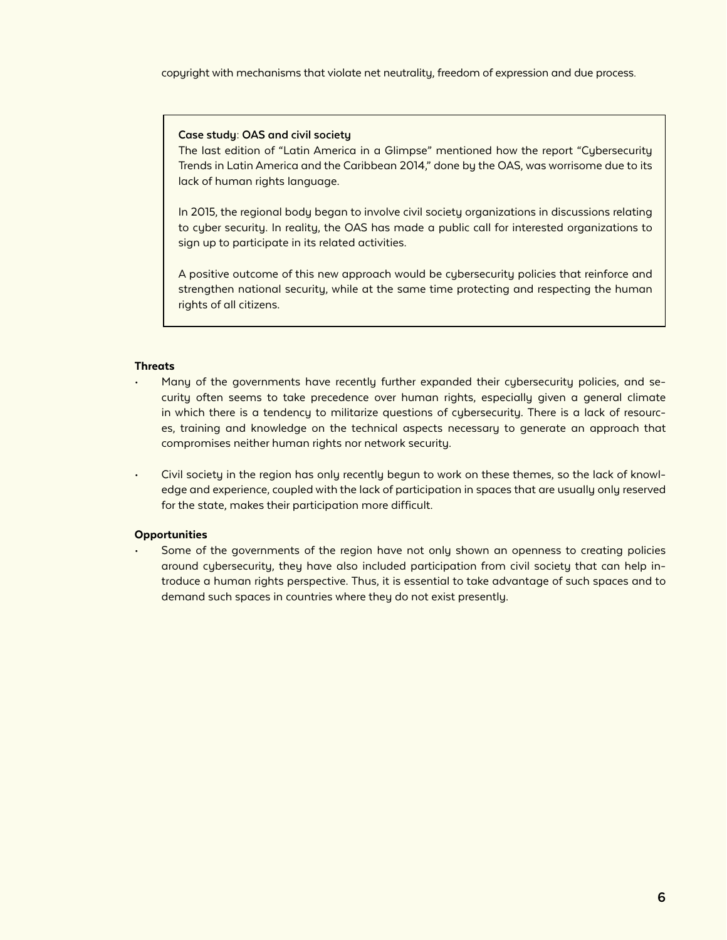copyright with mechanisms that violate net neutrality, freedom of expression and due process.

#### **Case study: OAS and civil society**

The last edition of "Latin America in a Glimpse" mentioned how the report "Cybersecurity Trends in Latin America and the Caribbean 2014," done by the OAS, was worrisome due to its lack of human rights language.

In 2015, the regional body began to involve civil society organizations in discussions relating to cyber security. In reality, the OAS has made a public call for interested organizations to sign up to participate in its related activities.

A positive outcome of this new approach would be cybersecurity policies that reinforce and strengthen national security, while at the same time protecting and respecting the human rights of all citizens.

#### **Threats**

- Many of the governments have recently further expanded their cybersecurity policies, and security often seems to take precedence over human rights, especially given a general climate in which there is a tendency to militarize questions of cybersecurity. There is a lack of resources, training and knowledge on the technical aspects necessary to generate an approach that compromises neither human rights nor network security.
- Civil society in the region has only recently begun to work on these themes, so the lack of knowledge and experience, coupled with the lack of participation in spaces that are usually only reserved for the state, makes their participation more difficult.

#### **Opportunities**

Some of the governments of the region have not only shown an openness to creating policies around cybersecurity, they have also included participation from civil society that can help introduce a human rights perspective. Thus, it is essential to take advantage of such spaces and to demand such spaces in countries where they do not exist presently.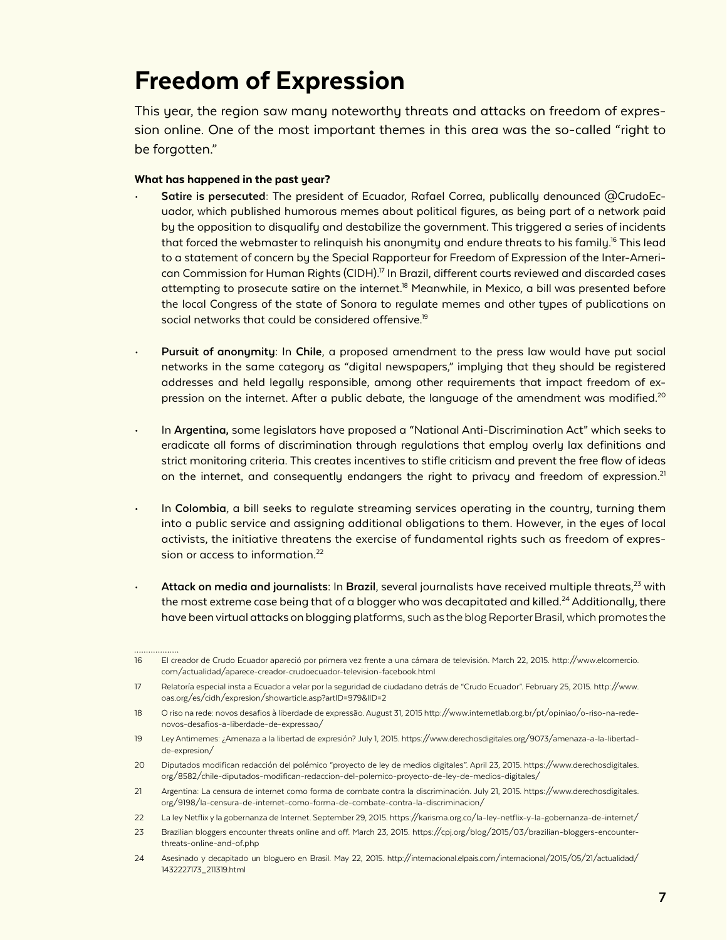### Freedom of Expression

This year, the region saw many noteworthy threats and attacks on freedom of expression online. One of the most important themes in this area was the so-called "right to be forgotten."

- **Satire is persecuted:** The president of Ecuador, Rafael Correa, publically denounced @CrudoEcuador, which published humorous memes about political figures, as being part of a network paid by the opposition to disqualify and destabilize the government. This triggered a series of incidents that forced the webmaster to relinquish his anonymity and endure threats to his family.<sup>16</sup> This lead to a statement of concern by the Special Rapporteur for Freedom of Expression of the Inter-American Commission for Human Rights (CIDH).<sup>17</sup> In Brazil, different courts reviewed and discarded cases attempting to prosecute satire on the internet.<sup>18</sup> Meanwhile, in Mexico, a bill was presented before the local Congress of the state of Sonora to regulate memes and other types of publications on social networks that could be considered offensive.<sup>19</sup>
- **Pursuit of anonymity:** In **Chile**, a proposed amendment to the press law would have put social networks in the same category as "digital newspapers," implying that they should be registered addresses and held legally responsible, among other requirements that impact freedom of expression on the internet. After a public debate, the language of the amendment was modified.<sup>20</sup>
- In **Argentina,** some legislators have proposed a "National Anti-Discrimination Act" which seeks to eradicate all forms of discrimination through regulations that employ overly lax definitions and strict monitoring criteria. This creates incentives to stifle criticism and prevent the free flow of ideas on the internet, and consequently endangers the right to privacy and freedom of expression.<sup>21</sup>
- In **Colombia**, a bill seeks to regulate streaming services operating in the country, turning them into a public service and assigning additional obligations to them. However, in the eyes of local activists, the initiative threatens the exercise of fundamental rights such as freedom of expression or access to information.<sup>22</sup>
- Attack on media and journalists: In Brazil, several journalists have received multiple threats,<sup>23</sup> with the most extreme case being that of a blogger who was decapitated and killed.<sup>24</sup> Additionally, there have been virtual attacks on blogging platforms, such as the blog Reporter Brasil, which promotes the

<sup>16</sup> El creador de Crudo Ecuador apareció por primera vez frente a una cámara de televisión. March 22, 2015. http://www.elcomercio. com/actualidad/aparece-creador-crudoecuador-television-facebook.html

<sup>17</sup> Relatoría especial insta a Ecuador a velar por la seguridad de ciudadano detrás de "Crudo Ecuador". February 25, 2015. http://www. oas.org/es/cidh/expresion/showarticle.asp?artID=979&lID=2

<sup>18</sup> O riso na rede: novos desafios à liberdade de expressão. August 31, 2015 http://www.internetlab.org.br/pt/opiniao/o-riso-na-redenovos-desafios-a-liberdade-de-expressao/

<sup>19</sup> Ley Antimemes: ¿Amenaza a la libertad de expresión? July 1, 2015. https://www.derechosdigitales.org/9073/amenaza-a-la-libertadde-expresion/

<sup>20</sup> Diputados modifican redacción del polémico "proyecto de ley de medios digitales". April 23, 2015. https://www.derechosdigitales. org/8582/chile-diputados-modifican-redaccion-del-polemico-proyecto-de-ley-de-medios-digitales/

<sup>21</sup> Argentina: La censura de internet como forma de combate contra la discriminación. July 21, 2015. https://www.derechosdigitales. org/9198/la-censura-de-internet-como-forma-de-combate-contra-la-discriminacion/

<sup>22</sup> La ley Netflix y la gobernanza de Internet. September 29, 2015. https://karisma.org.co/la-ley-netflix-y-la-gobernanza-de-internet/

<sup>23</sup> Brazilian bloggers encounter threats online and off. March 23, 2015. https://cpj.org/blog/2015/03/brazilian-bloggers-encounterthreats-online-and-of.php

<sup>24</sup> Asesinado y decapitado un bloguero en Brasil. May 22, 2015. http://internacional.elpais.com/internacional/2015/05/21/actualidad/ 1432227173\_211319.html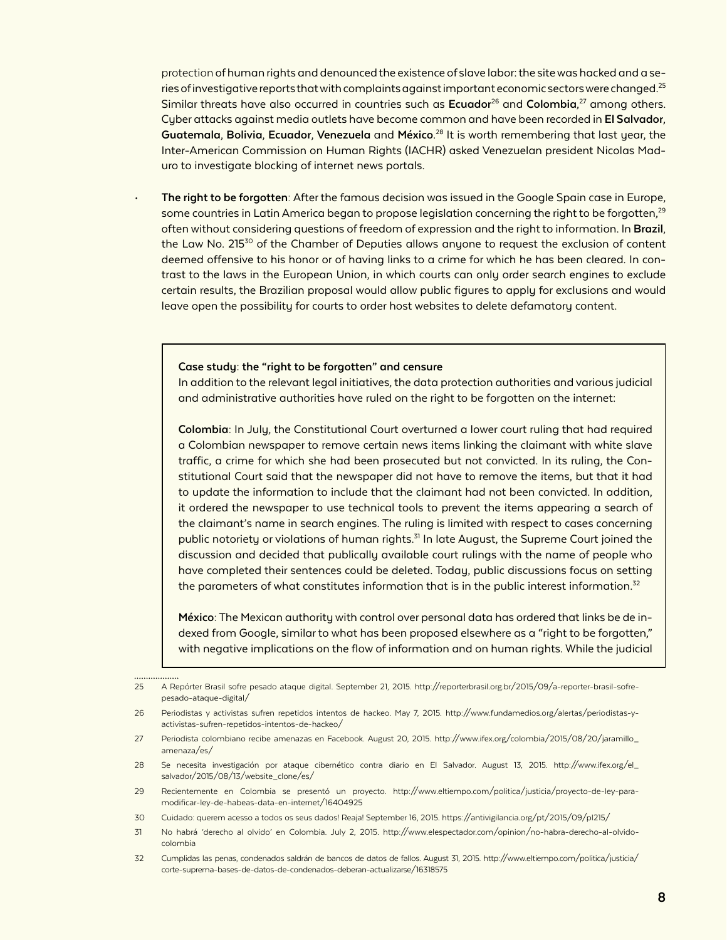protection of human rights and denounced the existence of slave labor: the site was hacked and a series of investigative reports that with complaints against important economic sectors were changed.<sup>25</sup> Similar threats have also occurred in countries such as Ecuador<sup>26</sup> and Colombia,<sup>27</sup> among others. Cyber attacks against media outlets have become common and have been recorded in **El Salvador**, **Guatemala**, **Bolivia**, **Ecuador**, **Venezuela** and **México**. 28 It is worth remembering that last year, the Inter-American Commission on Human Rights (IACHR) asked Venezuelan president Nicolas Maduro to investigate blocking of internet news portals.

• **The right to be forgotten**: After the famous decision was issued in the Google Spain case in Europe, some countries in Latin America began to propose legislation concerning the right to be forgotten, $^{29}$ often without considering questions of freedom of expression and the right to information. In **Brazil**, the Law No. 215 $30$  of the Chamber of Deputies allows anyone to request the exclusion of content deemed offensive to his honor or of having links to a crime for which he has been cleared. In contrast to the laws in the European Union, in which courts can only order search engines to exclude certain results, the Brazilian proposal would allow public figures to apply for exclusions and would leave open the possibility for courts to order host websites to delete defamatory content.

#### **Case study: the "right to be forgotten" and censure**

In addition to the relevant legal initiatives, the data protection authorities and various judicial and administrative authorities have ruled on the right to be forgotten on the internet:

**Colombia:** In July, the Constitutional Court overturned a lower court ruling that had required a Colombian newspaper to remove certain news items linking the claimant with white slave traffic, a crime for which she had been prosecuted but not convicted. In its ruling, the Constitutional Court said that the newspaper did not have to remove the items, but that it had to update the information to include that the claimant had not been convicted. In addition, it ordered the newspaper to use technical tools to prevent the items appearing a search of the claimant's name in search engines. The ruling is limited with respect to cases concerning public notoriety or violations of human rights.<sup>31</sup> In late August, the Supreme Court joined the discussion and decided that publically available court rulings with the name of people who have completed their sentences could be deleted. Today, public discussions focus on setting the parameters of what constitutes information that is in the public interest information.<sup>32</sup>

**México:** The Mexican authority with control over personal data has ordered that links be de indexed from Google, similar to what has been proposed elsewhere as a "right to be forgotten," with negative implications on the flow of information and on human rights. While the judicial

<sup>25</sup> A Repórter Brasil sofre pesado ataque digital. September 21, 2015. http://reporterbrasil.org.br/2015/09/a-reporter-brasil-sofrepesado-ataque-digital/

<sup>26</sup> Periodistas y activistas sufren repetidos intentos de hackeo. May 7, 2015. http://www.fundamedios.org/alertas/periodistas-yactivistas-sufren-repetidos-intentos-de-hackeo/

<sup>27</sup> Periodista colombiano recibe amenazas en Facebook. August 20, 2015. http://www.ifex.org/colombia/2015/08/20/jaramillo\_ amenaza/es/

<sup>28</sup> Se necesita investigación por ataque cibernético contra diario en El Salvador. August 13, 2015. http://www.ifex.org/el\_ salvador/2015/08/13/website\_clone/es/

<sup>29</sup> Recientemente en Colombia se presentó un proyecto. http://www.eltiempo.com/politica/justicia/proyecto-de-ley-paramodificar-ley-de-habeas-data-en-internet/16404925

<sup>30</sup> Cuidado: querem acesso a todos os seus dados! Reaja! September 16, 2015. https://antivigilancia.org/pt/2015/09/pl215/

<sup>31</sup> No habrá 'derecho al olvido' en Colombia. July 2, 2015. http://www.elespectador.com/opinion/no-habra-derecho-al-olvidocolombia

<sup>32</sup> Cumplidas las penas, condenados saldrán de bancos de datos de fallos. August 31, 2015. http://www.eltiempo.com/politica/justicia/ corte-suprema-bases-de-datos-de-condenados-deberan-actualizarse/16318575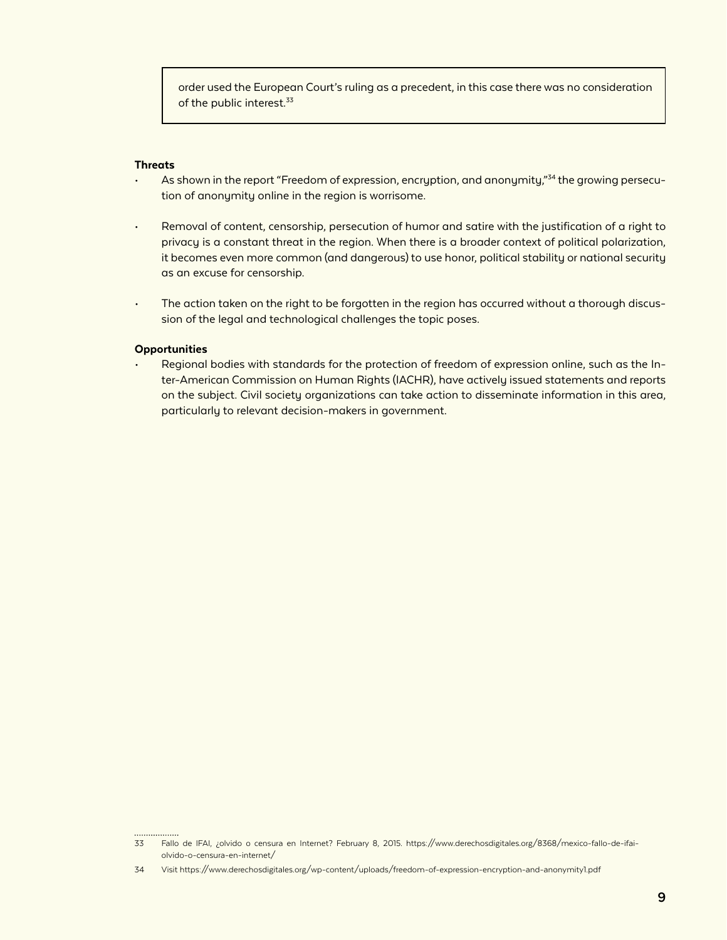order used the European Court's ruling as a precedent, in this case there was no consideration of the public interest.<sup>33</sup>

#### **Threats**

- As shown in the report "Freedom of expression, encryption, and anonymity,"<sup>34</sup> the growing persecution of anonymity online in the region is worrisome.
- Removal of content, censorship, persecution of humor and satire with the justification of a right to privacy is a constant threat in the region. When there is a broader context of political polarization, it becomes even more common (and dangerous) to use honor, political stability or national security as an excuse for censorship.
- The action taken on the right to be forgotten in the region has occurred without a thorough discussion of the legal and technological challenges the topic poses.

#### **Opportunities**

. . . . . . . . . . . . . . . . .

• Regional bodies with standards for the protection of freedom of expression online, such as the Inter-American Commission on Human Rights (IACHR), have actively issued statements and reports on the subject. Civil society organizations can take action to disseminate information in this area, particularly to relevant decision-makers in government.

<sup>33</sup> Fallo de IFAI, ¿olvido o censura en Internet? February 8, 2015. https://www.derechosdigitales.org/8368/mexico-fallo-de-ifaiolvido-o-censura-en-internet/

<sup>34</sup> Visit https://www.derechosdigitales.org/wp-content/uploads/freedom-of-expression-encryption-and-anonymity1.pdf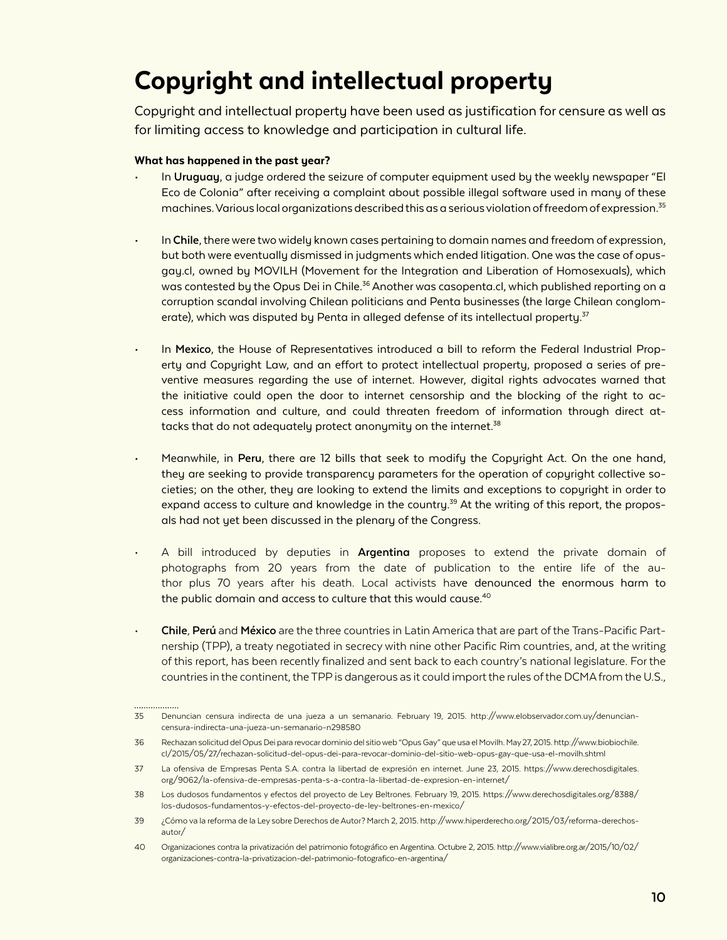### Copyright and intellectual property

Copyright and intellectual property have been used as justification for censure as well as for limiting access to knowledge and participation in cultural life.

#### What has happened in the past year?

. . . . . . . . . . . . . . .

- In **Uruguay**, a judge ordered the seizure of computer equipment used by the weekly newspaper "El Eco de Colonia" after receiving a complaint about possible illegal software used in many of these machines. Various local organizations described this as a serious violation of freedom of expression.<sup>35</sup>
- In **Chile**, there were two widely known cases pertaining to domain names and freedom of expression, but both were eventually dismissed in judgments which ended litigation. One was the case of opusgay.cl, owned by MOVILH (Movement for the Integration and Liberation of Homosexuals), which was contested by the Opus Dei in Chile.<sup>36</sup> Another was casopenta.cl, which published reporting on a corruption scandal involving Chilean politicians and Penta businesses (the large Chilean conglomerate), which was disputed by Penta in alleged defense of its intellectual property.<sup>37</sup>
- In **Mexico**, the House of Representatives introduced a bill to reform the Federal Industrial Property and Copyright Law, and an effort to protect intellectual property, proposed a series of preventive measures regarding the use of internet. However, digital rights advocates warned that the initiative could open the door to internet censorship and the blocking of the right to access information and culture, and could threaten freedom of information through direct attacks that do not adequately protect anonymity on the internet.<sup>38</sup>
- Meanwhile, in **Peru**, there are 12 bills that seek to modify the Copyright Act. On the one hand, they are seeking to provide transparency parameters for the operation of copyright collective societies; on the other, they are looking to extend the limits and exceptions to copyright in order to expand access to culture and knowledge in the country.<sup>39</sup> At the writing of this report, the proposals had not yet been discussed in the plenary of the Congress.
- A bill introduced by deputies in **Argentina** proposes to extend the private domain of photographs from 20 years from the date of publication to the entire life of the author plus 70 years after his death. Local activists have denounced the enormous harm to the public domain and access to culture that this would cause.<sup>40</sup>
- **Chile**, **Perú** and **México** are the three countries in Latin America that are part of the Trans-Pacific Partnership (TPP), a treaty negotiated in secrecy with nine other Pacific Rim countries, and, at the writing of this report, has been recently finalized and sent back to each country's national legislature. For the countries in the continent, the TPP is dangerous as it could import the rules of the DCMA from the U.S.,

<sup>35</sup> Denuncian censura indirecta de una jueza a un semanario. February 19, 2015. http://www.elobservador.com.uy/denunciancensura-indirecta-una-jueza-un-semanario-n298580

<sup>36</sup> Rechazan solicitud del Opus Dei para revocar dominio del sitio web "Opus Gay" que usa el Movilh. May 27, 2015. http://www.biobiochile. cl/2015/05/27/rechazan-solicitud-del-opus-dei-para-revocar-dominio-del-sitio-web-opus-gay-que-usa-el-movilh.shtml

<sup>37</sup> La ofensiva de Empresas Penta S.A. contra la libertad de expresión en internet. June 23, 2015. https://www.derechosdigitales. org/9062/la-ofensiva-de-empresas-penta-s-a-contra-la-libertad-de-expresion-en-internet/

<sup>38</sup> Los dudosos fundamentos y efectos del proyecto de Ley Beltrones. February 19, 2015. https://www.derechosdigitales.org/8388/ los-dudosos-fundamentos-y-efectos-del-proyecto-de-ley-beltrones-en-mexico/

<sup>39</sup> ¿Cómo va la reforma de la Ley sobre Derechos de Autor? March 2, 2015. http://www.hiperderecho.org/2015/03/reforma-derechosautor/

<sup>40</sup> Organizaciones contra la privatización del patrimonio fotográfico en Argentina. Octubre 2, 2015. http://www.vialibre.org.ar/2015/10/02/ organizaciones-contra-la-privatizacion-del-patrimonio-fotografico-en-argentina/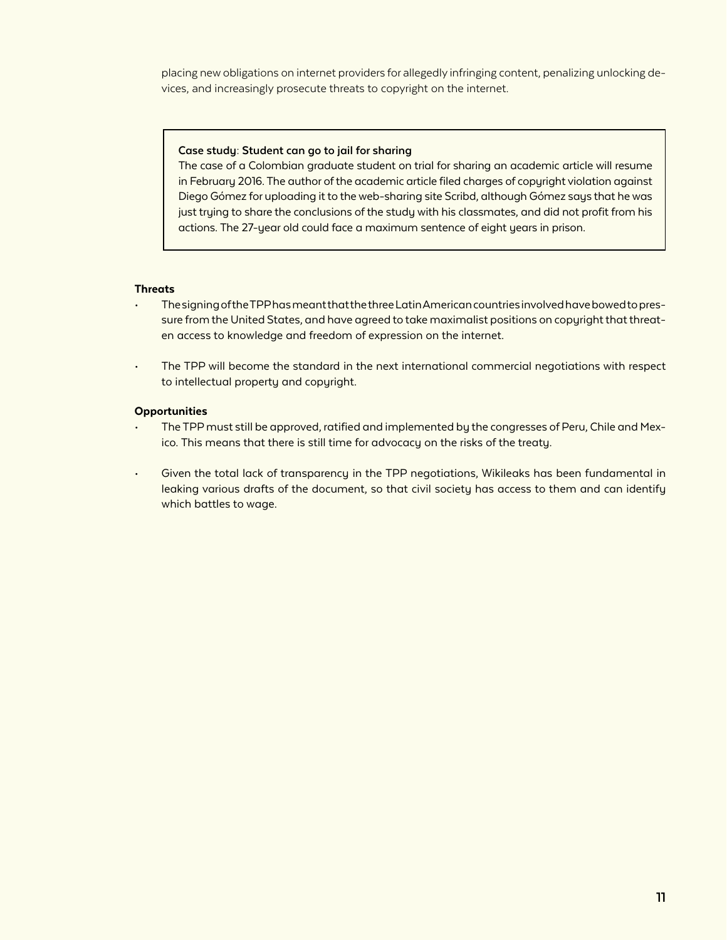placing new obligations on internet providers for allegedly infringing content, penalizing unlocking devices, and increasingly prosecute threats to copyright on the internet.

#### **Case study: Student can go to jail for sharing**

The case of a Colombian graduate student on trial for sharing an academic article will resume in February 2016. The author of the academic article filed charges of copyright violation against Diego Gómez for uploading it to the web-sharing site Scribd, although Gómez says that he was just trying to share the conclusions of the study with his classmates, and did not profit from his actions. The 27-year old could face a maximum sentence of eight years in prison.

#### **Threats**

- The signing of the TPP has meant that the three Latin American countries involved have bowed to pressure from the United States, and have agreed to take maximalist positions on copyright that threaten access to knowledge and freedom of expression on the internet.
- The TPP will become the standard in the next international commercial negotiations with respect to intellectual property and copyright.

#### **Opportunities**

- The TPP must still be approved, ratified and implemented by the congresses of Peru, Chile and Mexico. This means that there is still time for advocacy on the risks of the treaty.
- Given the total lack of transparency in the TPP negotiations, Wikileaks has been fundamental in leaking various drafts of the document, so that civil society has access to them and can identify which battles to wage.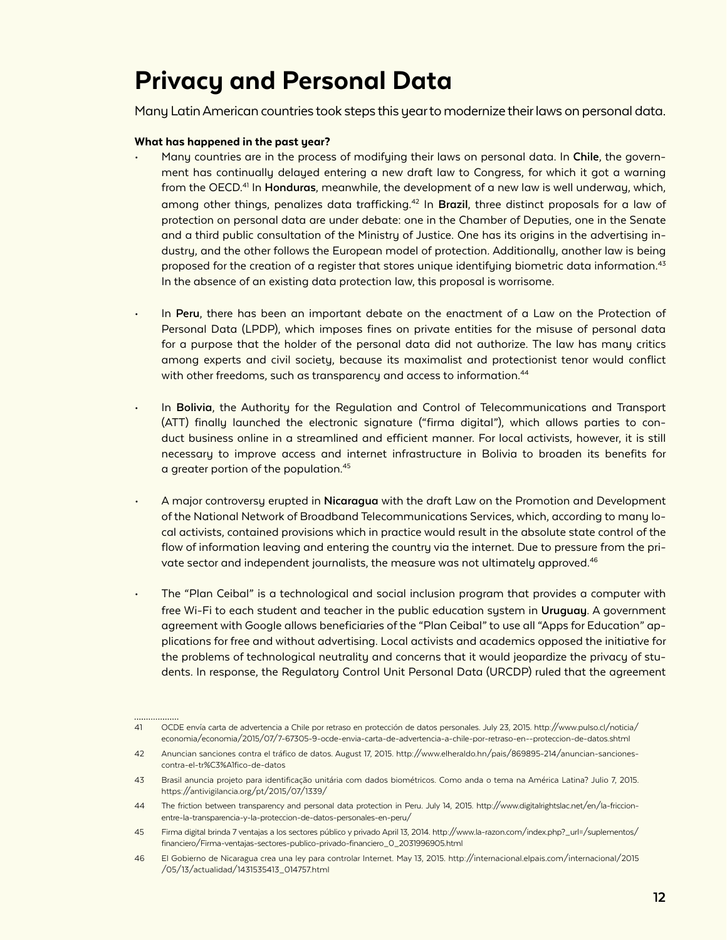### Privacy and Personal Data

Many Latin American countries took steps this year to modernize their laws on personal data.

#### What has happened in the past year?

................

- Many countries are in the process of modifying their laws on personal data. In **Chile**, the government has continually delayed entering a new draft law to Congress, for which it got a warning from the OECD.41 In **Honduras**, meanwhile, the development of a new law is well underway, which, among other things, penalizes data trafficking.<sup>42</sup> In **Brazil**, three distinct proposals for a law of protection on personal data are under debate: one in the Chamber of Deputies, one in the Senate and a third public consultation of the Ministry of Justice. One has its origins in the advertising industry, and the other follows the European model of protection. Additionally, another law is being proposed for the creation of a register that stores unique identifying biometric data information.<sup>43</sup> In the absence of an existing data protection law, this proposal is worrisome.
- In **Peru**, there has been an important debate on the enactment of a Law on the Protection of Personal Data (LPDP), which imposes fines on private entities for the misuse of personal data for a purpose that the holder of the personal data did not authorize. The law has many critics among experts and civil society, because its maximalist and protectionist tenor would conflict with other freedoms, such as transparency and access to information.<sup>44</sup>
- In **Bolivia**, the Authority for the Regulation and Control of Telecommunications and Transport (ATT) finally launched the electronic signature ("firma digital"), which allows parties to conduct business online in a streamlined and efficient manner. For local activists, however, it is still necessary to improve access and internet infrastructure in Bolivia to broaden its benefits for a greater portion of the population.45
- A major controversy erupted in **Nicaragua** with the draft Law on the Promotion and Development of the National Network of Broadband Telecommunications Services, which, according to many local activists, contained provisions which in practice would result in the absolute state control of the flow of information leaving and entering the country via the internet. Due to pressure from the private sector and independent journalists, the measure was not ultimately approved.<sup>46</sup>
- The "Plan Ceibal" is a technological and social inclusion program that provides a computer with free Wi-Fi to each student and teacher in the public education system in **Uruguay**. A government agreement with Google allows beneficiaries of the "Plan Ceibal" to use all "Apps for Education" applications for free and without advertising. Local activists and academics opposed the initiative for the problems of technological neutrality and concerns that it would jeopardize the privacy of students. In response, the Regulatory Control Unit Personal Data (URCDP) ruled that the agreement

<sup>41</sup> OCDE envía carta de advertencia a Chile por retraso en protección de datos personales. July 23, 2015. http://www.pulso.cl/noticia/ economia/economia/2015/07/7-67305-9-ocde-envia-carta-de-advertencia-a-chile-por-retraso-en--proteccion-de-datos.shtml

<sup>42</sup> Anuncian sanciones contra el tráfico de datos. August 17, 2015. http://www.elheraldo.hn/pais/869895-214/anuncian-sancionescontra-el-tr%C3%A1fico-de-datos

<sup>43</sup> Brasil anuncia projeto para identificação unitária com dados biométricos. Como anda o tema na América Latina? Julio 7, 2015. https://antivigilancia.org/pt/2015/07/1339/

<sup>44</sup> The friction between transparency and personal data protection in Peru. July 14, 2015. http://www.digitalrightslac.net/en/la-friccionentre-la-transparencia-y-la-proteccion-de-datos-personales-en-peru/

<sup>45</sup> Firma digital brinda 7 ventajas a los sectores público y privado April 13, 2014. http://www.la-razon.com/index.php?\_url=/suplementos/ financiero/Firma-ventajas-sectores-publico-privado-financiero\_0\_2031996905.html

<sup>46</sup> El Gobierno de Nicaragua crea una ley para controlar Internet. May 13, 2015. http://internacional.elpais.com/internacional/2015 /05/13/actualidad/1431535413\_014757.html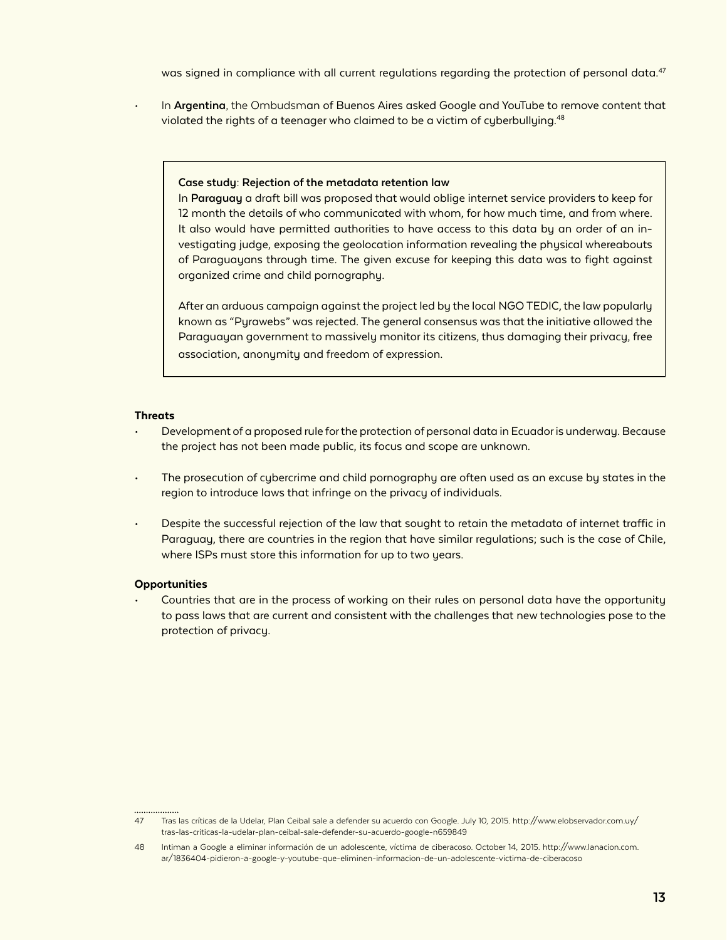was signed in compliance with all current regulations regarding the protection of personal data.<sup>47</sup>

• In **Argentina**, the Ombudsman of Buenos Aires asked Google and YouTube to remove content that violated the rights of a teenager who claimed to be a victim of cyberbullying. $48$ 

#### **Case study: Rejection of the metadata retention law**

In **Paraguay** a draft bill was proposed that would oblige internet service providers to keep for 12 month the details of who communicated with whom, for how much time, and from where. It also would have permitted authorities to have access to this data by an order of an investigating judge, exposing the geolocation information revealing the physical whereabouts of Paraguayans through time. The given excuse for keeping this data was to fight against organized crime and child pornography.

After an arduous campaign against the project led by the local NGO TEDIC, the law popularly known as "Pyrawebs" was rejected. The general consensus was that the initiative allowed the Paraguayan government to massively monitor its citizens, thus damaging their privacy, free association, anonymity and freedom of expression.

#### **Threats**

- Development of a proposed rule for the protection of personal data in Ecuador is underway. Because the project has not been made public, its focus and scope are unknown.
- The prosecution of cybercrime and child pornography are often used as an excuse by states in the region to introduce laws that infringe on the privacy of individuals.
- Despite the successful rejection of the law that sought to retain the metadata of internet traffic in Paraguay, there are countries in the region that have similar regulations; such is the case of Chile, where ISPs must store this information for up to two years.

#### **Opportunities**

• Countries that are in the process of working on their rules on personal data have the opportunity to pass laws that are current and consistent with the challenges that new technologies pose to the protection of privacy.

<sup>47</sup> Tras las críticas de la Udelar, Plan Ceibal sale a defender su acuerdo con Google. July 10, 2015. http://www.elobservador.com.uy/ tras-las-criticas-la-udelar-plan-ceibal-sale-defender-su-acuerdo-google-n659849

<sup>48</sup> Intiman a Google a eliminar información de un adolescente, víctima de ciberacoso. October 14, 2015. http://www.lanacion.com. ar/1836404-pidieron-a-google-y-youtube-que-eliminen-informacion-de-un-adolescente-victima-de-ciberacoso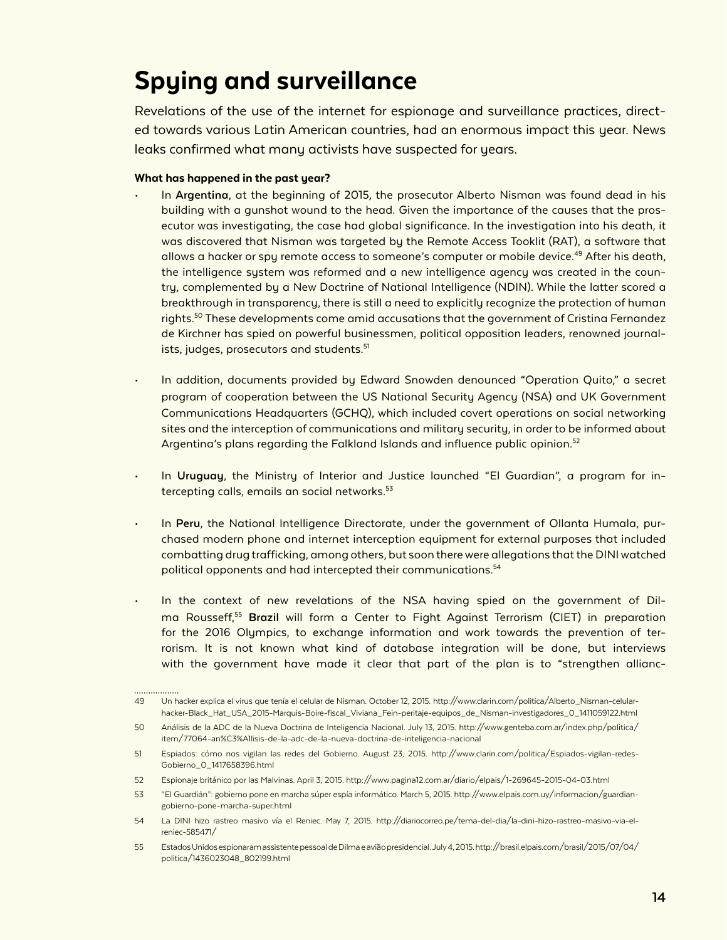### Spying and surveillance

Revelations of the use of the internet for espionage and surveillance practices, directed towards various Latin American countries, had an enormous impact this year. News leaks confirmed what many activists have suspected for years.

- In **Argentina**, at the beginning of 2015, the prosecutor Alberto Nisman was found dead in his building with a gunshot wound to the head. Given the importance of the causes that the prosecutor was investigating, the case had global significance. In the investigation into his death, it was discovered that Nisman was targeted by the Remote Access Tooklit (RAT), a software that allows a hacker or spy remote access to someone's computer or mobile device.<sup>49</sup> After his death, the intelligence system was reformed and a new intelligence agency was created in the country, complemented by a New Doctrine of National Intelligence (NDIN). While the latter scored a breakthrough in transparency, there is still a need to explicitly recognize the protection of human rights.<sup>50</sup> These developments come amid accusations that the government of Cristina Fernandez de Kirchner has spied on powerful businessmen, political opposition leaders, renowned journalists, judges, prosecutors and students.<sup>51</sup>
- In addition, documents provided by Edward Snowden denounced "Operation Quito," a secret program of cooperation between the US National Security Agency (NSA) and UK Government Communications Headquarters (GCHQ), which included covert operations on social networking sites and the interception of communications and military security, in order to be informed about Argentina's plans regarding the Falkland Islands and influence public opinion.<sup>52</sup>
- In **Uruguay**, the Ministry of Interior and Justice launched "El Guardian", a program for intercepting calls, emails an social networks.<sup>53</sup>
- In **Peru**, the National Intelligence Directorate, under the government of Ollanta Humala, purchased modern phone and internet interception equipment for external purposes that included combatting drug trafficking, among others, but soon there were allegations that the DINI watched political opponents and had intercepted their communications.<sup>54</sup>
- In the context of new revelations of the NSA having spied on the government of Dilma Rousseff,55 **Brazil** will form a Center to Fight Against Terrorism (CIET) in preparation for the 2016 Olympics, to exchange information and work towards the prevention of terrorism. It is not known what kind of database integration will be done, but interviews with the government have made it clear that part of the plan is to "strengthen allianc-

<sup>49</sup> Un hacker explica el virus que tenía el celular de Nisman. October 12, 2015. http://www.clarin.com/politica/Alberto\_Nisman-celularhacker-Black\_Hat\_USA\_2015-Marquis-Boire-fiscal\_Viviana\_Fein-peritaje-equipos\_de\_Nisman-investigadores\_0\_1411059122.html

<sup>50</sup> Análisis de la ADC de la Nueva Doctrina de Inteligencia Nacional. July 13, 2015. http://www.genteba.com.ar/index.php/politica/ item/77064-an%C3%A1lisis-de-la-adc-de-la-nueva-doctrina-de-inteligencia-nacional

<sup>51</sup> Espiados: cómo nos vigilan las redes del Gobierno. August 23, 2015. http://www.clarin.com/politica/Espiados-vigilan-redes-Gobierno\_0\_1417658396.html

<sup>52</sup> Espionaje británico por las Malvinas. April 3, 2015. http://www.pagina12.com.ar/diario/elpais/1-269645-2015-04-03.html

<sup>53</sup> "El Guardián": gobierno pone en marcha súper espía informático. March 5, 2015. http://www.elpais.com.uy/informacion/guardiangobierno-pone-marcha-super.html

<sup>54</sup> La DINI hizo rastreo masivo vía el Reniec. May 7, 2015. http://diariocorreo.pe/tema-del-dia/la-dini-hizo-rastreo-masivo-via-elreniec-585471/

<sup>55</sup> Estados Unidos espionaram assistente pessoal de Dilma e avião presidencial. July 4, 2015. http://brasil.elpais.com/brasil/2015/07/04/ politica/1436023048\_802199.html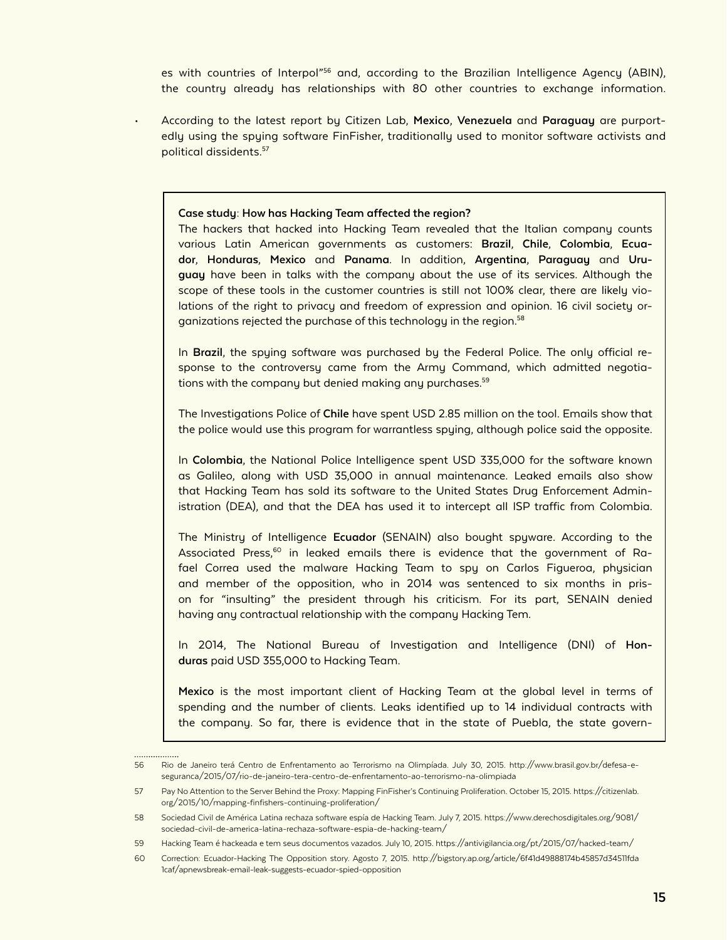es with countries of Interpol<sup>"56</sup> and, according to the Brazilian Intelligence Agency (ABIN), the country already has relationships with 80 other countries to exchange information.

• According to the latest report by Citizen Lab, **Mexico**, **Venezuela** and **Paraguay** are purportedly using the spying software FinFisher, traditionally used to monitor software activists and political dissidents.57

#### **Case study: How has Hacking Team affected the region?**

The hackers that hacked into Hacking Team revealed that the Italian company counts various Latin American governments as customers: **Brazil**, **Chile**, **Colombia**, **Ecuador**, **Honduras**, **Mexico** and **Panama**. In addition, **Argentina**, **Paraguay** and **Uruguay** have been in talks with the company about the use of its services. Although the scope of these tools in the customer countries is still not 100% clear, there are likely violations of the right to privacy and freedom of expression and opinion. 16 civil society organizations rejected the purchase of this technology in the region.<sup>58</sup>

In **Brazil**, the spying software was purchased by the Federal Police. The only official response to the controversy came from the Army Command, which admitted negotiations with the company but denied making any purchases.<sup>59</sup>

The Investigations Police of **Chile** have spent USD 2.85 million on the tool. Emails show that the police would use this program for warrantless spying, although police said the opposite.

In **Colombia**, the National Police Intelligence spent USD 335,000 for the software known as Galileo, along with USD 35,000 in annual maintenance. Leaked emails also show that Hacking Team has sold its software to the United States Drug Enforcement Administration (DEA), and that the DEA has used it to intercept all ISP traffic from Colombia.

The Ministry of Intelligence **Ecuador** (SENAIN) also bought spyware. According to the Associated Press, $60$  in leaked emails there is evidence that the government of Rafael Correa used the malware Hacking Team to spy on Carlos Figueroa, physician and member of the opposition, who in 2014 was sentenced to six months in prison for "insulting" the president through his criticism. For its part, SENAIN denied having any contractual relationship with the company Hacking Tem.

In 2014, The National Bureau of Investigation and Intelligence (DNI) of **Honduras** paid USD 355,000 to Hacking Team.

**Mexico** is the most important client of Hacking Team at the global level in terms of spending and the number of clients. Leaks identified up to 14 individual contracts with the company. So far, there is evidence that in the state of Puebla, the state govern-

. . . . . . . . . . . . . . .

<sup>56</sup> Rio de Janeiro terá Centro de Enfrentamento ao Terrorismo na Olimpíada. July 30, 2015. http://www.brasil.gov.br/defesa-eseguranca/2015/07/rio-de-janeiro-tera-centro-de-enfrentamento-ao-terrorismo-na-olimpiada

<sup>57</sup> Pay No Attention to the Server Behind the Proxy: Mapping FinFisher's Continuing Proliferation. October 15, 2015. https://citizenlab. org/2015/10/mapping-finfishers-continuing-proliferation/

<sup>58</sup> Sociedad Civil de América Latina rechaza software espía de Hacking Team. July 7, 2015. https://www.derechosdigitales.org/9081/ sociedad-civil-de-america-latina-rechaza-software-espia-de-hacking-team/

<sup>59</sup> Hacking Team é hackeada e tem seus documentos vazados. July 10, 2015. https://antivigilancia.org/pt/2015/07/hacked-team/

<sup>60</sup> Correction: Ecuador-Hacking The Opposition story. Agosto 7, 2015. http://bigstory.ap.org/article/6f41d49888174b45857d34511fda 1caf/apnewsbreak-email-leak-suggests-ecuador-spied-opposition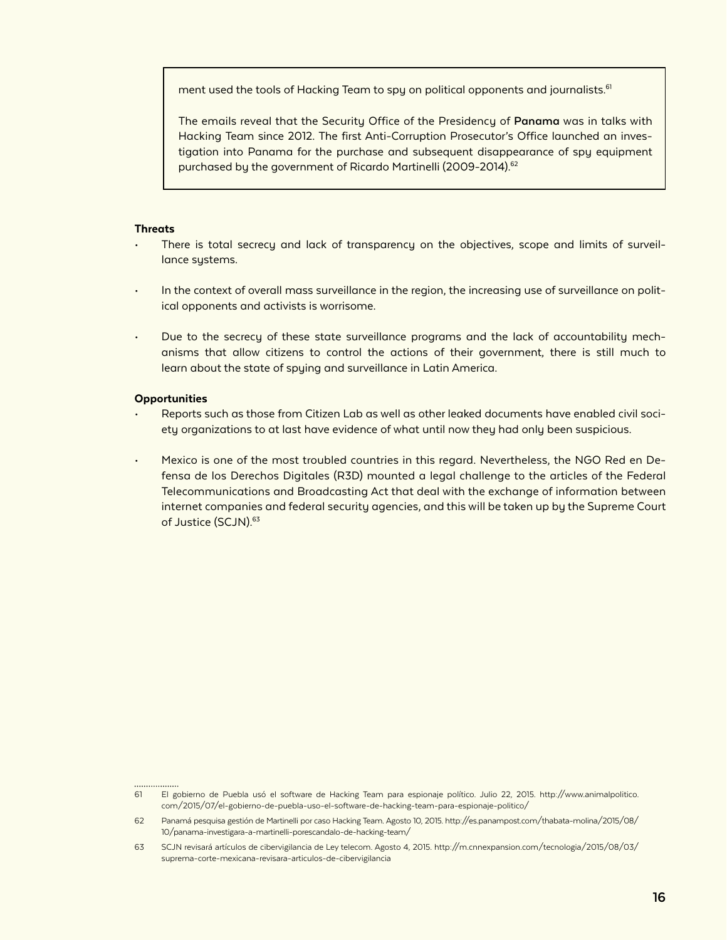ment used the tools of Hacking Team to spy on political opponents and journalists.<sup>61</sup>

The emails reveal that the Security Office of the Presidency of **Panama** was in talks with Hacking Team since 2012. The first Anti-Corruption Prosecutor's Office launched an investigation into Panama for the purchase and subsequent disappearance of spy equipment purchased by the government of Ricardo Martinelli (2009-2014).<sup>62</sup>

#### **Threats**

- There is total secrecy and lack of transparency on the objectives, scope and limits of surveillance systems.
- In the context of overall mass surveillance in the region, the increasing use of surveillance on political opponents and activists is worrisome.
- Due to the secrecy of these state surveillance programs and the lack of accountability mechanisms that allow citizens to control the actions of their government, there is still much to learn about the state of spying and surveillance in Latin America.

#### **Opportunities**

..................

- Reports such as those from Citizen Lab as well as other leaked documents have enabled civil society organizations to at last have evidence of what until now they had only been suspicious.
- Mexico is one of the most troubled countries in this regard. Nevertheless, the NGO Red en Defensa de los Derechos Digitales (R3D) mounted a legal challenge to the articles of the Federal Telecommunications and Broadcasting Act that deal with the exchange of information between internet companies and federal security agencies, and this will be taken up by the Supreme Court of Justice (SCJN).<sup>63</sup>

<sup>61</sup> El gobierno de Puebla usó el software de Hacking Team para espionaje político. Julio 22, 2015. http://www.animalpolitico. com/2015/07/el-gobierno-de-puebla-uso-el-software-de-hacking-team-para-espionaje-politico/

<sup>62</sup> Panamá pesquisa gestión de Martinelli por caso Hacking Team. Agosto 10, 2015. http://es.panampost.com/thabata-molina/2015/08/ 10/panama-investigara-a-martinelli-porescandalo-de-hacking-team/

<sup>63</sup> SCJN revisará artículos de cibervigilancia de Ley telecom. Agosto 4, 2015. http://m.cnnexpansion.com/tecnologia/2015/08/03/ suprema-corte-mexicana-revisara-articulos-de-cibervigilancia